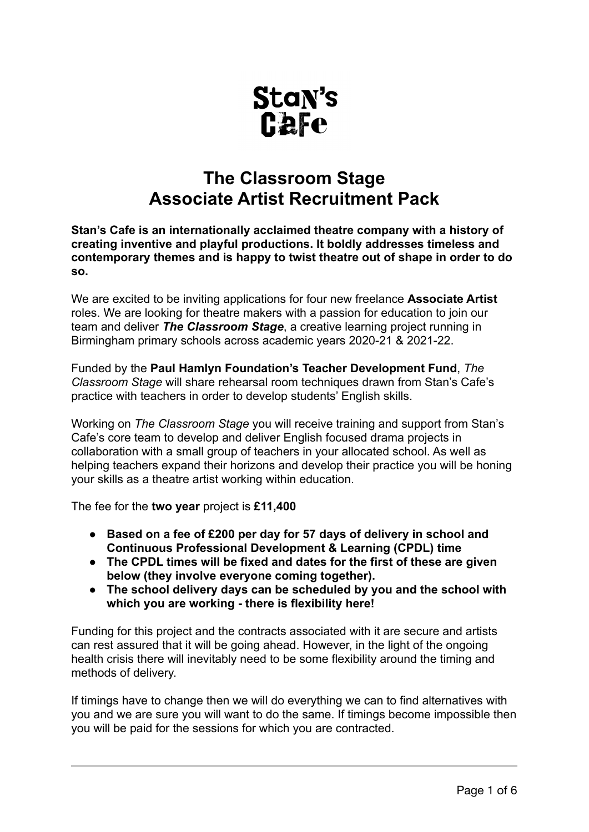

# **The Classroom Stage Associate Artist Recruitment Pack**

**Stan's Cafe is an internationally acclaimed theatre company with a history of creating inventive and playful productions. It boldly addresses timeless and contemporary themes and is happy to twist theatre out of shape in order to do so.** 

We are excited to be inviting applications for four new freelance **Associate Artist** roles. We are looking for theatre makers with a passion for education to join our team and deliver *The Classroom Stage*, a creative learning project running in Birmingham primary schools across academic years 2020-21 & 2021-22.

Funded by the **Paul Hamlyn Foundation's Teacher Development Fund**, *The Classroom Stage* will share rehearsal room techniques drawn from Stan's Cafe's practice with teachers in order to develop students' English skills.

Working on *The Classroom Stage* you will receive training and support from Stan's Cafe's core team to develop and deliver English focused drama projects in collaboration with a small group of teachers in your allocated school. As well as helping teachers expand their horizons and develop their practice you will be honing your skills as a theatre artist working within education.

The fee for the **two year** project is **£11,400** 

- **● Based on a fee of £200 per day for 57 days of delivery in school and Continuous Professional Development & Learning (CPDL) time**
- **● The CPDL times will be fixed and dates for the first of these are given below (they involve everyone coming together).**
- **● The school delivery days can be scheduled by you and the school with which you are working - there is flexibility here!**

Funding for this project and the contracts associated with it are secure and artists can rest assured that it will be going ahead. However, in the light of the ongoing health crisis there will inevitably need to be some flexibility around the timing and methods of delivery.

If timings have to change then we will do everything we can to find alternatives with you and we are sure you will want to do the same. If timings become impossible then you will be paid for the sessions for which you are contracted.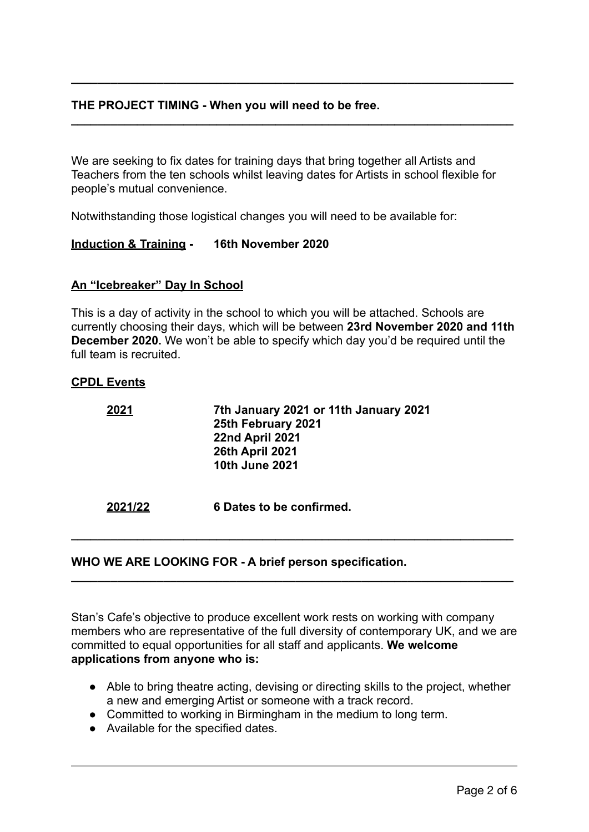## **THE PROJECT TIMING - When you will need to be free.**

We are seeking to fix dates for training days that bring together all Artists and Teachers from the ten schools whilst leaving dates for Artists in school flexible for people's mutual convenience.

**\_\_\_\_\_\_\_\_\_\_\_\_\_\_\_\_\_\_\_\_\_\_\_\_\_\_\_\_\_\_\_\_\_\_\_\_\_\_\_\_\_\_\_\_\_\_\_\_\_\_\_\_\_\_\_\_\_\_\_\_\_\_\_\_\_\_\_**

**\_\_\_\_\_\_\_\_\_\_\_\_\_\_\_\_\_\_\_\_\_\_\_\_\_\_\_\_\_\_\_\_\_\_\_\_\_\_\_\_\_\_\_\_\_\_\_\_\_\_\_\_\_\_\_\_\_\_\_\_\_\_\_\_\_\_\_** 

Notwithstanding those logistical changes you will need to be available for:

## **Induction & Training - 16th November 2020**

## **An "Icebreaker" Day In School**

This is a day of activity in the school to which you will be attached. Schools are currently choosing their days, which will be between **23rd November 2020 and 11th December 2020.** We won't be able to specify which day you'd be required until the full team is recruited.

#### **CPDL Events**

| 2021    | 7th January 2021 or 11th January 2021<br>25th February 2021<br>22nd April 2021<br><b>26th April 2021</b><br><b>10th June 2021</b> |
|---------|-----------------------------------------------------------------------------------------------------------------------------------|
| 2021/22 | 6 Dates to be confirmed.                                                                                                          |

## **WHO WE ARE LOOKING FOR - A brief person specification.**

Stan's Cafe's objective to produce excellent work rests on working with company members who are representative of the full diversity of contemporary UK, and we are committed to equal opportunities for all staff and applicants. **We welcome applications from anyone who is:** 

**\_\_\_\_\_\_\_\_\_\_\_\_\_\_\_\_\_\_\_\_\_\_\_\_\_\_\_\_\_\_\_\_\_\_\_\_\_\_\_\_\_\_\_\_\_\_\_\_\_\_\_\_\_\_\_\_\_\_\_\_\_\_\_\_\_\_\_**

**\_\_\_\_\_\_\_\_\_\_\_\_\_\_\_\_\_\_\_\_\_\_\_\_\_\_\_\_\_\_\_\_\_\_\_\_\_\_\_\_\_\_\_\_\_\_\_\_\_\_\_\_\_\_\_\_\_\_\_\_\_\_\_\_\_\_\_** 

- Able to bring theatre acting, devising or directing skills to the project, whether a new and emerging Artist or someone with a track record.
- Committed to working in Birmingham in the medium to long term.
- Available for the specified dates.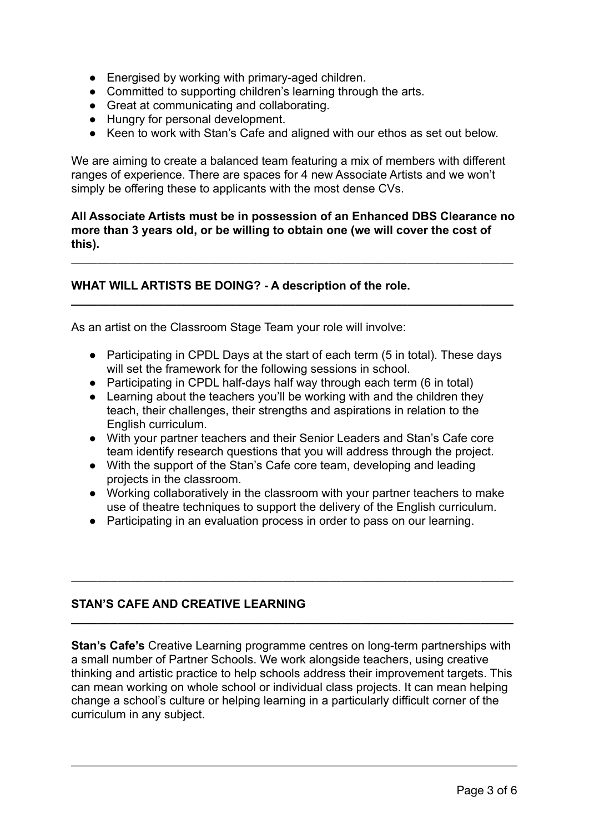- Energised by working with primary-aged children.
- Committed to supporting children's learning through the arts.
- Great at communicating and collaborating.
- Hungry for personal development.
- Keen to work with Stan's Cafe and aligned with our ethos as set out below.

We are aiming to create a balanced team featuring a mix of members with different ranges of experience. There are spaces for 4 new Associate Artists and we won't simply be offering these to applicants with the most dense CVs.

## **All Associate Artists must be in possession of an Enhanced DBS Clearance no more than 3 years old, or be willing to obtain one (we will cover the cost of this).**

\_\_\_\_\_\_\_\_\_\_\_\_\_\_\_\_\_\_\_\_\_\_\_\_\_\_\_\_\_\_\_\_\_\_\_\_\_\_\_\_\_\_\_\_\_\_\_\_\_\_\_\_\_\_\_\_\_\_\_\_\_\_\_\_\_\_\_

**\_\_\_\_\_\_\_\_\_\_\_\_\_\_\_\_\_\_\_\_\_\_\_\_\_\_\_\_\_\_\_\_\_\_\_\_\_\_\_\_\_\_\_\_\_\_\_\_\_\_\_\_\_\_\_\_\_\_\_\_\_\_\_\_\_\_\_** 

## **WHAT WILL ARTISTS BE DOING? - A description of the role.**

As an artist on the Classroom Stage Team your role will involve:

- Participating in CPDL Days at the start of each term (5 in total). These days will set the framework for the following sessions in school.
- Participating in CPDL half-days half way through each term (6 in total)
- Learning about the teachers you'll be working with and the children they teach, their challenges, their strengths and aspirations in relation to the English curriculum.
- With your partner teachers and their Senior Leaders and Stan's Cafe core team identify research questions that you will address through the project.
- With the support of the Stan's Cafe core team, developing and leading projects in the classroom.
- Working collaboratively in the classroom with your partner teachers to make use of theatre techniques to support the delivery of the English curriculum.
- Participating in an evaluation process in order to pass on our learning.

\_\_\_\_\_\_\_\_\_\_\_\_\_\_\_\_\_\_\_\_\_\_\_\_\_\_\_\_\_\_\_\_\_\_\_\_\_\_\_\_\_\_\_\_\_\_\_\_\_\_\_\_\_\_\_\_\_\_\_\_\_\_\_\_\_\_\_

**\_\_\_\_\_\_\_\_\_\_\_\_\_\_\_\_\_\_\_\_\_\_\_\_\_\_\_\_\_\_\_\_\_\_\_\_\_\_\_\_\_\_\_\_\_\_\_\_\_\_\_\_\_\_\_\_\_\_\_\_\_\_\_\_\_\_\_** 

## **STAN'S CAFE AND CREATIVE LEARNING**

**Stan's Cafe's** Creative Learning programme centres on long-term partnerships with a small number of Partner Schools. We work alongside teachers, using creative thinking and artistic practice to help schools address their improvement targets. This can mean working on whole school or individual class projects. It can mean helping change a school's culture or helping learning in a particularly difficult corner of the curriculum in any subject.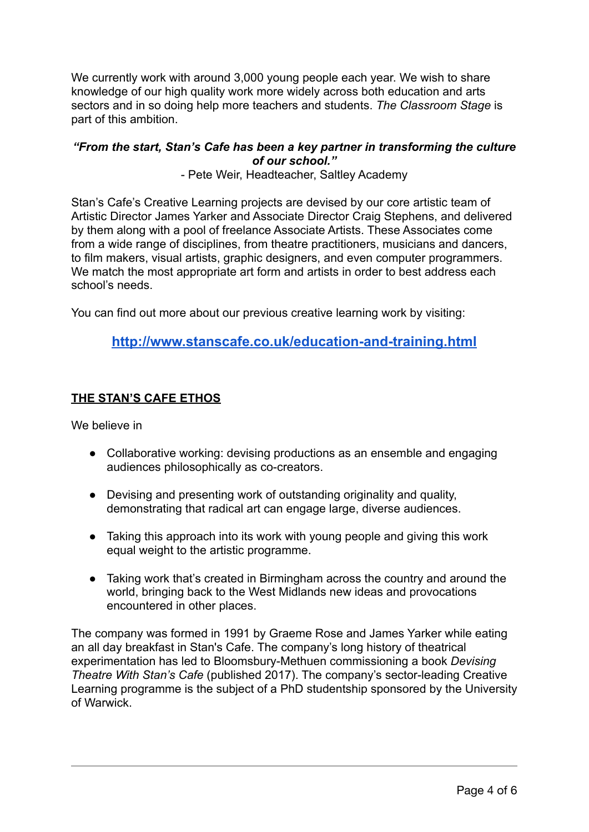We currently work with around 3,000 young people each year. We wish to share knowledge of our high quality work more widely across both education and arts sectors and in so doing help more teachers and students. *The Classroom Stage* is part of this ambition.

## *"From the start, Stan's Cafe has been a key partner in transforming the culture of our school."*

- Pete Weir, Headteacher, Saltley Academy

Stan's Cafe's Creative Learning projects are devised by our core artistic team of Artistic Director James Yarker and Associate Director Craig Stephens, and delivered by them along with a pool of freelance Associate Artists. These Associates come from a wide range of disciplines, from theatre practitioners, musicians and dancers, to film makers, visual artists, graphic designers, and even computer programmers. We match the most appropriate art form and artists in order to best address each school's needs.

You can find out more about our previous creative learning work by visiting:

# **<http://www.stanscafe.co.uk/education-and-training.html>**

# **THE STAN'S CAFE ETHOS**

We believe in

- Collaborative working: devising productions as an ensemble and engaging audiences philosophically as co-creators.
- Devising and presenting work of outstanding originality and quality, demonstrating that radical art can engage large, diverse audiences.
- Taking this approach into its work with young people and giving this work equal weight to the artistic programme.
- Taking work that's created in Birmingham across the country and around the world, bringing back to the West Midlands new ideas and provocations encountered in other places.

The company was formed in 1991 by Graeme Rose and James Yarker while eating an all day breakfast in Stan's Cafe. The company's long history of theatrical experimentation has led to Bloomsbury-Methuen commissioning a book *Devising Theatre With Stan's Cafe* (published 2017). The company's sector-leading Creative Learning programme is the subject of a PhD studentship sponsored by the University of Warwick.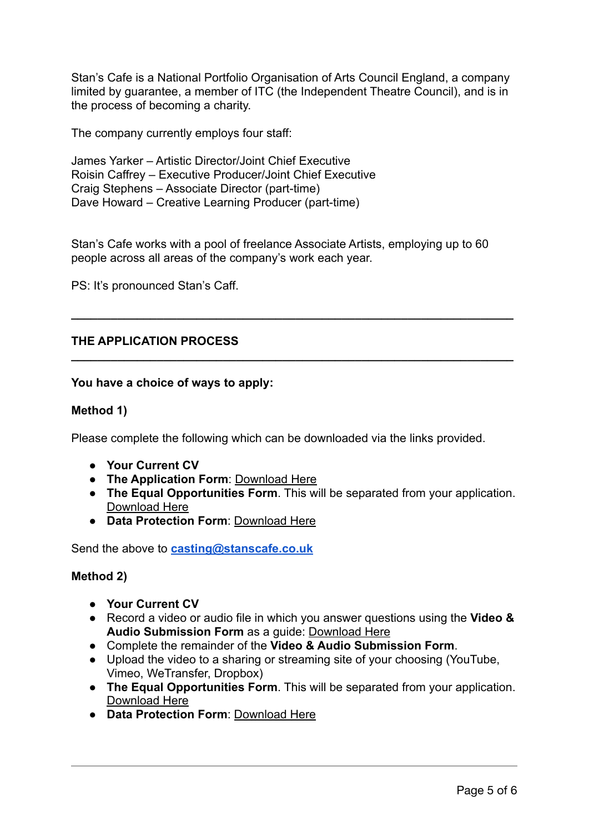Stan's Cafe is a National Portfolio Organisation of Arts Council England, a company limited by guarantee, a member of ITC (the Independent Theatre Council), and is in the process of becoming a charity.

The company currently employs four staff:

James Yarker – Artistic Director/Joint Chief Executive Roisin Caffrey – Executive Producer/Joint Chief Executive Craig Stephens – Associate Director (part-time) Dave Howard – Creative Learning Producer (part-time)

Stan's Cafe works with a pool of freelance Associate Artists, employing up to 60 people across all areas of the company's work each year.

**\_\_\_\_\_\_\_\_\_\_\_\_\_\_\_\_\_\_\_\_\_\_\_\_\_\_\_\_\_\_\_\_\_\_\_\_\_\_\_\_\_\_\_\_\_\_\_\_\_\_\_\_\_\_\_\_\_\_\_\_\_\_\_\_\_\_\_**

**\_\_\_\_\_\_\_\_\_\_\_\_\_\_\_\_\_\_\_\_\_\_\_\_\_\_\_\_\_\_\_\_\_\_\_\_\_\_\_\_\_\_\_\_\_\_\_\_\_\_\_\_\_\_\_\_\_\_\_\_\_\_\_\_\_\_\_** 

PS: It's pronounced Stan's Caff.

## **THE APPLICATION PROCESS**

#### **You have a choice of ways to apply:**

#### **Method 1)**

Please complete the following which can be downloaded via the links provided.

- **Your Current CV**
- **The Application Form**: [Download Here](http://www.stanscafe.co.uk/Downloads/ClassroomStageAssociateArtistsApplicationForm.docx)
- **The Equal Opportunities Form**. This will be separated from your application. [Download Here](http://www.stanscafe.co.uk/Downloads/StansCafeEqualOpportunitiesFormW_CLASSDEFINITIONS.docx)
- **Data Protection Form**: [Download Here](http://www.stanscafe.co.uk/Downloads/DataProtectionConsentForRecruitment.docx)

Send the above to **[casting@stanscafe.co.uk](mailto:casting@stanscafe.co.uk)**

## **Method 2)**

- **Your Current CV**
- Record a video or audio file in which you answer questions using the **Video & Audio Submission Form** as a guide: [Download Here](http://www.stanscafe.co.uk/Downloads/ClassroomStageAssociateArtistsVideoAudioSubmissionForm.docx)
- Complete the remainder of the **Video & Audio Submission Form**.
- Upload the video to a sharing or streaming site of your choosing (YouTube, Vimeo, WeTransfer, Dropbox)
- **The Equal Opportunities Form**. This will be separated from your application. [Download Here](http://www.stanscafe.co.uk/Downloads/StansCafeEqualOpportunitiesFormW_CLASSDEFINITIONS.docx)
- **Data Protection Form**: [Download Here](http://www.stanscafe.co.uk/Downloads/DataProtectionConsentForRecruitment.docx)